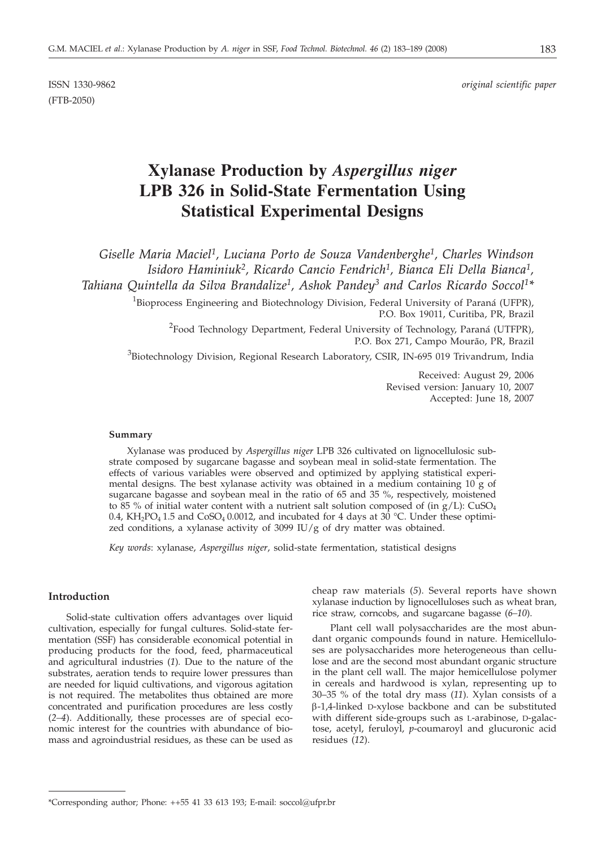(FTB-2050)

ISSN 1330-9862 *original scientific paper*

# **Xylanase Production by** *Aspergillus niger* **LPB 326 in Solid-State Fermentation Using Statistical Experimental Designs**

*Giselle Maria Maciel1, Luciana Porto de Souza Vandenberghe1, Charles Windson Isidoro Haminiuk2, Ricardo Cancio Fendrich1, Bianca Eli Della Bianca1, Tahiana Quintella da Silva Brandalize1, Ashok Pandey3 and Carlos Ricardo Soccol1\**

<sup>1</sup>Bioprocess Engineering and Biotechnology Division, Federal University of Paraná (UFPR), P.O. Box 19011, Curitiba, PR, Brazil

 $^{2}$ Food Technology Department, Federal University of Technology, Paraná (UTFPR), P.O. Box 271, Campo Mourão, PR, Brazil

<sup>3</sup>Biotechnology Division, Regional Research Laboratory, CSIR, IN-695 019 Trivandrum, India

Received: August 29, 2006 Revised version: January 10, 2007 Accepted: June 18, 2007

## **Summary**

Xylanase was produced by *Aspergillus niger* LPB 326 cultivated on lignocellulosic substrate composed by sugarcane bagasse and soybean meal in solid-state fermentation. The effects of various variables were observed and optimized by applying statistical experimental designs. The best xylanase activity was obtained in a medium containing  $10 \text{ g}$  of sugarcane bagasse and soybean meal in the ratio of 65 and 35 %, respectively, moistened to 85 % of initial water content with a nutrient salt solution composed of (in  $g/L$ ): CuSO<sub>4</sub> 0.4, KH<sub>2</sub>PO<sub>4</sub> 1.5 and CoSO<sub>4</sub> 0.0012, and incubated for 4 days at 30 °C. Under these optimized conditions, a xylanase activity of 3099 IU/g of dry matter was obtained.

*Key words*: xylanase, *Aspergillus niger*, solid-state fermentation, statistical designs

## **Introduction**

Solid-state cultivation offers advantages over liquid cultivation, especially for fungal cultures. Solid-state fermentation (SSF) has considerable economical potential in producing products for the food, feed, pharmaceutical and agricultural industries (*1*)*.* Due to the nature of the substrates, aeration tends to require lower pressures than are needed for liquid cultivations, and vigorous agitation is not required. The metabolites thus obtained are more concentrated and purification procedures are less costly (*2–4*). Additionally, these processes are of special economic interest for the countries with abundance of biomass and agroindustrial residues, as these can be used as

cheap raw materials (*5*). Several reports have shown xylanase induction by lignocelluloses such as wheat bran, rice straw, corncobs, and sugarcane bagasse (*6–10*).

Plant cell wall polysaccharides are the most abundant organic compounds found in nature. Hemicelluloses are polysaccharides more heterogeneous than cellulose and are the second most abundant organic structure in the plant cell wall. The major hemicellulose polymer in cereals and hardwood is xylan, representing up to 30–35 % of the total dry mass (*11*). Xylan consists of a b-1,4-linked D-xylose backbone and can be substituted with different side-groups such as L-arabinose, D-galactose, acetyl, feruloyl, *p*-coumaroyl and glucuronic acid residues (*12*).

<sup>\*</sup>Corresponding author; Phone:  $++55$  41 33 613 193; E-mail: soccol@ufpr.br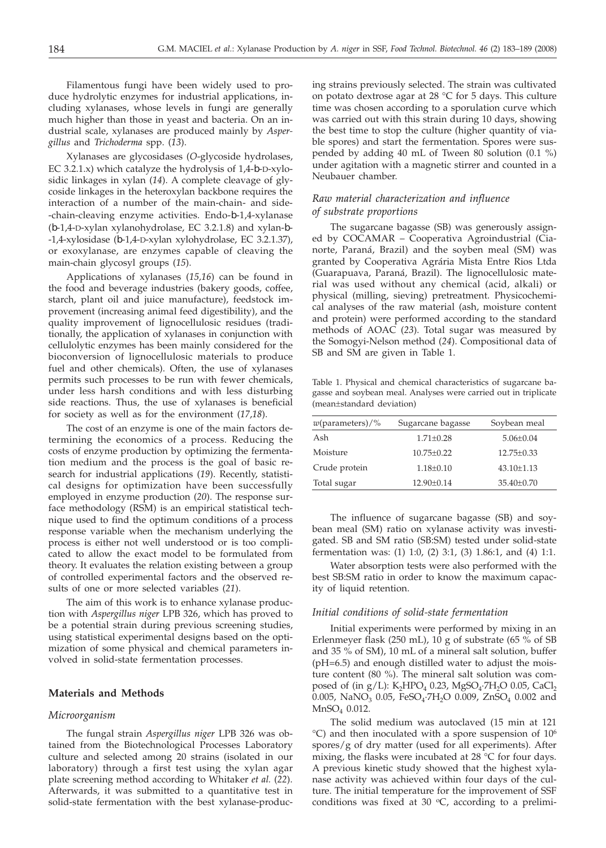Filamentous fungi have been widely used to produce hydrolytic enzymes for industrial applications, including xylanases, whose levels in fungi are generally much higher than those in yeast and bacteria. On an industrial scale, xylanases are produced mainly by *Aspergillus* and *Trichoderma* spp. (*13*).

Xylanases are glycosidases (*O*-glycoside hydrolases, EC 3.2.1.x) which catalyze the hydrolysis of 1,4- -D-xylosidic linkages in xylan (*14*). A complete cleavage of glycoside linkages in the heteroxylan backbone requires the interaction of a number of the main-chain- and side- -chain-cleaving enzyme activities. Endo- -1,4-xylanase ( -1,4-D-xylan xylanohydrolase, EC 3.2.1.8) and xylan- - -1,4-xylosidase ( -1,4-D-xylan xylohydrolase, EC 3.2.1.37), or exoxylanase, are enzymes capable of cleaving the main-chain glycosyl groups (*15*).

Applications of xylanases (*15,16*) can be found in the food and beverage industries (bakery goods, coffee, starch, plant oil and juice manufacture), feedstock improvement (increasing animal feed digestibility), and the quality improvement of lignocellulosic residues (traditionally, the application of xylanases in conjunction with cellulolytic enzymes has been mainly considered for the bioconversion of lignocellulosic materials to produce fuel and other chemicals). Often, the use of xylanases permits such processes to be run with fewer chemicals, under less harsh conditions and with less disturbing side reactions. Thus, the use of xylanases is beneficial for society as well as for the environment (*17*,*18*).

The cost of an enzyme is one of the main factors determining the economics of a process. Reducing the costs of enzyme production by optimizing the fermentation medium and the process is the goal of basic research for industrial applications (*19*). Recently, statistical designs for optimization have been successfully employed in enzyme production (*20*). The response surface methodology (RSM) is an empirical statistical technique used to find the optimum conditions of a process response variable when the mechanism underlying the process is either not well understood or is too complicated to allow the exact model to be formulated from theory. It evaluates the relation existing between a group of controlled experimental factors and the observed results of one or more selected variables (*21*).

The aim of this work is to enhance xylanase production with *Aspergillus niger* LPB 326, which has proved to be a potential strain during previous screening studies, using statistical experimental designs based on the optimization of some physical and chemical parameters involved in solid-state fermentation processes.

# **Materials and Methods**

## *Microorganism*

The fungal strain *Aspergillus niger* LPB 326 was obtained from the Biotechnological Processes Laboratory culture and selected among 20 strains (isolated in our laboratory) through a first test using the xylan agar plate screening method according to Whitaker *et al.* (*22*). Afterwards, it was submitted to a quantitative test in solid-state fermentation with the best xylanase-producing strains previously selected. The strain was cultivated on potato dextrose agar at 28 °C for 5 days. This culture time was chosen according to a sporulation curve which was carried out with this strain during 10 days, showing the best time to stop the culture (higher quantity of viable spores) and start the fermentation. Spores were suspended by adding 40 mL of Tween 80 solution (0.1 %) under agitation with a magnetic stirrer and counted in a Neubauer chamber.

# *Raw material characterization and influence of substrate proportions*

The sugarcane bagasse (SB) was generously assigned by COCAMAR – Cooperativa Agroindustrial (Cianorte, Paraná, Brazil) and the soyben meal (SM) was granted by Cooperativa Agrária Mista Entre Rios Ltda (Guarapuava, Paraná, Brazil). The lignocellulosic material was used without any chemical (acid, alkali) or physical (milling, sieving) pretreatment. Physicochemical analyses of the raw material (ash, moisture content and protein) were performed according to the standard methods of AOAC (*23*). Total sugar was measured by the Somogyi-Nelson method (*24*). Compositional data of SB and SM are given in Table 1.

Table 1. Physical and chemical characteristics of sugarcane bagasse and soybean meal. Analyses were carried out in triplicate (mean±standard deviation)

| $w$ (parameters)/% | Sugarcane bagasse | Soybean meal     |  |
|--------------------|-------------------|------------------|--|
| Ash                | $1.71 \pm 0.28$   | $5.06 \pm 0.04$  |  |
| Moisture           | $10.75 \pm 0.22$  | $12.75 \pm 0.33$ |  |
| Crude protein      | $1.18 \pm 0.10$   | $43.10 \pm 1.13$ |  |
| Total sugar        | 12.90±0.14        | $35.40 \pm 0.70$ |  |

The influence of sugarcane bagasse (SB) and soybean meal (SM) ratio on xylanase activity was investigated. SB and SM ratio (SB:SM) tested under solid-state fermentation was: (1) 1:0, (2) 3:1, (3) 1.86:1, and (4) 1:1.

Water absorption tests were also performed with the best SB:SM ratio in order to know the maximum capacity of liquid retention.

## *Initial conditions of solid-state fermentation*

Initial experiments were performed by mixing in an Erlenmeyer flask (250 mL), 10 g of substrate (65 % of SB and 35 % of SM), 10 mL of a mineral salt solution, buffer (pH=6.5) and enough distilled water to adjust the moisture content (80 %). The mineral salt solution was composed of (in g/L):  $K_2HPO_4$  0.23,  $MgSO_4$ ·7 $H_2O$  0.05,  $CaCl_2$ 0.005, NaNO<sub>3</sub> 0.05, FeSO<sub>4</sub>.7H<sub>2</sub>O 0.009, ZnSO<sub>4</sub> 0.002 and MnSO4 0.012.

The solid medium was autoclaved (15 min at 121 °C) and then inoculated with a spore suspension of 106 spores/g of dry matter (used for all experiments). After mixing, the flasks were incubated at 28 °C for four days. A previous kinetic study showed that the highest xylanase activity was achieved within four days of the culture. The initial temperature for the improvement of SSF conditions was fixed at 30  $\degree$ C, according to a prelimi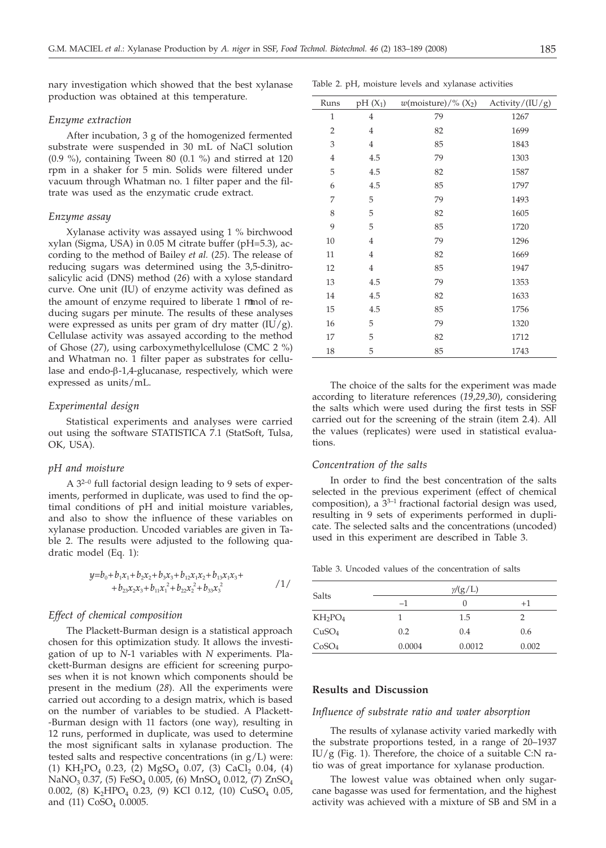nary investigation which showed that the best xylanase production was obtained at this temperature.

#### *Enzyme extraction*

After incubation, 3 g of the homogenized fermented substrate were suspended in 30 mL of NaCl solution (0.9 %), containing Tween 80 (0.1 %) and stirred at 120 rpm in a shaker for 5 min. Solids were filtered under vacuum through Whatman no. 1 filter paper and the filtrate was used as the enzymatic crude extract.

## *Enzyme assay*

Xylanase activity was assayed using 1 % birchwood xylan (Sigma, USA) in 0.05 M citrate buffer (pH=5.3), according to the method of Bailey *et al.* (*25*). The release of reducing sugars was determined using the 3,5-dinitrosalicylic acid (DNS) method (*26*) with a xylose standard curve. One unit (IU) of enzyme activity was defined as the amount of enzyme required to liberate 1 mol of reducing sugars per minute. The results of these analyses were expressed as units per gram of dry matter  $(IU/g)$ . Cellulase activity was assayed according to the method of Ghose (*27*), using carboxymethylcellulose (CMC 2 %) and Whatman no. 1 filter paper as substrates for cellulase and endo-β-1,4-glucanase, respectively, which were expressed as units/mL.

#### *Experimental design*

Statistical experiments and analyses were carried out using the software STATISTICA 7.1 (StatSoft, Tulsa, OK, USA).

## *pH and moisture*

A 32–0 full factorial design leading to 9 sets of experiments, performed in duplicate, was used to find the optimal conditions of pH and initial moisture variables, and also to show the influence of these variables on xylanase production. Uncoded variables are given in Table 2. The results were adjusted to the following quadratic model (Eq. 1):

$$
y=b_0+b_1x_1+b_2x_2+b_3x_3+b_{12}x_1x_2+b_{13}x_1x_3+\n+b_{23}x_2x_3+b_{11}x_1^2+b_{22}x_2^2+b_{33}x_3^2
$$
\n<sup>(1)</sup>

## *Effect of chemical composition*

The Plackett-Burman design is a statistical approach chosen for this optimization study. It allows the investigation of up to *N*-1 variables with *N* experiments. Plackett-Burman designs are efficient for screening purposes when it is not known which components should be present in the medium (*28*). All the experiments were carried out according to a design matrix, which is based on the number of variables to be studied. A Plackett- -Burman design with 11 factors (one way), resulting in 12 runs, performed in duplicate, was used to determine the most significant salts in xylanase production. The tested salts and respective concentrations (in  $g/L$ ) were: (1) KH<sub>2</sub>PO<sub>4</sub> 0.23, (2) MgSO<sub>4</sub> 0.07, (3) CaCl<sub>2</sub> 0.04, (4)  $NaNO<sub>3</sub> 0.37, (5) FeSO<sub>4</sub> 0.005, (6) MnSO<sub>4</sub> 0.012, (7) ZnSO<sub>4</sub>$ 0.002, (8) K<sub>2</sub>HPO<sub>4</sub> 0.23, (9) KCl 0.12, (10) CuSO<sub>4</sub> 0.05, and (11) CoSO<sub>4</sub> 0.0005.

| Runs           | $pH(X_1)$      | $w$ (moisture)/% (X <sub>2</sub> ) | Activity/(IU/g) |
|----------------|----------------|------------------------------------|-----------------|
| $\mathbf 1$    | $\overline{4}$ | 79                                 | 1267            |
| $\overline{2}$ | $\overline{4}$ | 82                                 | 1699            |
| 3              | $\overline{4}$ | 85                                 | 1843            |
| $\overline{4}$ | 4.5            | 79                                 | 1303            |
| 5              | 4.5            | 82                                 | 1587            |
| 6              | 4.5            | 85                                 | 1797            |
| 7              | 5              | 79                                 | 1493            |
| 8              | 5              | 82                                 | 1605            |
| 9              | 5              | 85                                 | 1720            |
| 10             | $\overline{4}$ | 79                                 | 1296            |
| 11             | $\overline{4}$ | 82                                 | 1669            |
| 12             | $\overline{4}$ | 85                                 | 1947            |
| 13             | 4.5            | 79                                 | 1353            |
| 14             | 4.5            | 82                                 | 1633            |
| 15             | 4.5            | 85                                 | 1756            |
| 16             | 5              | 79                                 | 1320            |
| 17             | 5              | 82                                 | 1712            |
| 18             | 5              | 85                                 | 1743            |

The choice of the salts for the experiment was made according to literature references (*19*,*29*,*30*), considering the salts which were used during the first tests in SSF carried out for the screening of the strain (item 2.4). All the values (replicates) were used in statistical evaluations.

#### *Concentration of the salts*

In order to find the best concentration of the salts selected in the previous experiment (effect of chemical composition), a  $3^{3-1}$  fractional factorial design was used, resulting in 9 sets of experiments performed in duplicate. The selected salts and the concentrations (uncoded) used in this experiment are described in Table 3.

Table 3. Uncoded values of the concentration of salts

| <b>Salts</b>      | $\gamma$ /(g/L) |        |       |  |  |
|-------------------|-----------------|--------|-------|--|--|
|                   | $-1$            | 0      | $+1$  |  |  |
| $KH_2PO_4$        |                 | 1.5    |       |  |  |
| CuSO <sub>4</sub> | 0.2             | 0.4    | 0.6   |  |  |
| CoSO <sub>4</sub> | 0.0004          | 0.0012 | 0.002 |  |  |

# **Results and Discussion**

#### *Influence of substrate ratio and water absorption*

The results of xylanase activity varied markedly with the substrate proportions tested, in a range of 20–1937  $IU/g$  (Fig. 1). Therefore, the choice of a suitable C:N ratio was of great importance for xylanase production.

The lowest value was obtained when only sugarcane bagasse was used for fermentation, and the highest activity was achieved with a mixture of SB and SM in a

Table 2. pH, moisture levels and xylanase activities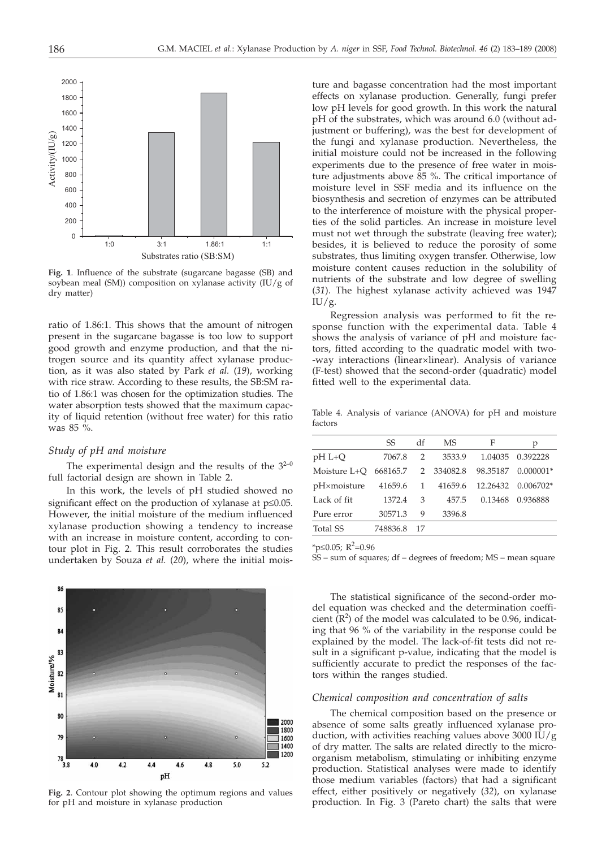

**Fig. 1**. Influence of the substrate (sugarcane bagasse (SB) and soybean meal (SM)) composition on xylanase activity (IU/g of dry matter)

ratio of 1.86:1. This shows that the amount of nitrogen present in the sugarcane bagasse is too low to support good growth and enzyme production, and that the nitrogen source and its quantity affect xylanase production, as it was also stated by Park *et al.* (*19*), working with rice straw. According to these results, the SB:SM ratio of 1.86:1 was chosen for the optimization studies. The water absorption tests showed that the maximum capacity of liquid retention (without free water) for this ratio was 85 %.

#### *Study of pH and moisture*

The experimental design and the results of the  $3^{2-0}$ full factorial design are shown in Table 2.

In this work, the levels of pH studied showed no significant effect on the production of xylanase at  $p \leq 0.05$ . However, the initial moisture of the medium influenced xylanase production showing a tendency to increase with an increase in moisture content, according to contour plot in Fig. 2. This result corroborates the studies undertaken by Souza *et al.* (*20*), where the initial mois-



**Fig. 2**. Contour plot showing the optimum regions and values for pH and moisture in xylanase production

ture and bagasse concentration had the most important effects on xylanase production. Generally, fungi prefer low pH levels for good growth. In this work the natural pH of the substrates, which was around 6.0 (without adjustment or buffering), was the best for development of the fungi and xylanase production. Nevertheless, the initial moisture could not be increased in the following experiments due to the presence of free water in moisture adjustments above 85 %. The critical importance of moisture level in SSF media and its influence on the biosynthesis and secretion of enzymes can be attributed to the interference of moisture with the physical properties of the solid particles. An increase in moisture level must not wet through the substrate (leaving free water); besides, it is believed to reduce the porosity of some substrates, thus limiting oxygen transfer. Otherwise, low moisture content causes reduction in the solubility of nutrients of the substrate and low degree of swelling (*31*). The highest xylanase activity achieved was 1947  $IU/g.$ 

Regression analysis was performed to fit the response function with the experimental data. Table 4 shows the analysis of variance of pH and moisture factors, fitted according to the quadratic model with two- -way interactions (linear×linear). Analysis of variance (F-test) showed that the second-order (quadratic) model fitted well to the experimental data.

Table 4. Analysis of variance (ANOVA) for pH and moisture factors

|              | SS       | df | MS       | F        | р           |
|--------------|----------|----|----------|----------|-------------|
| $pH L+Q$     | 7067.8   | 2  | 3533.9   | 1.04035  | 0.392228    |
| Moisture L+O | 668165.7 | 2  | 334082.8 | 98.35187 | $0.000001*$ |
| pH×moisture  | 41659.6  | 1  | 41659.6  | 12.26432 | $0.006702*$ |
| Lack of fit  | 1372.4   | 3  | 457.5    | 0.13468  | 0.936888    |
| Pure error   | 30571.3  | 9  | 3396.8   |          |             |
| Total SS     | 748836.8 | 17 |          |          |             |
|              |          |    |          |          |             |

\*p $\leq 0.05$ ; R<sup>2</sup>=0.96

SS – sum of squares; df – degrees of freedom; MS – mean square

The statistical significance of the second-order model equation was checked and the determination coefficient  $(R^2)$  of the model was calculated to be 0.96, indicating that 96 % of the variability in the response could be explained by the model. The lack-of-fit tests did not result in a significant p-value, indicating that the model is sufficiently accurate to predict the responses of the factors within the ranges studied.

#### *Chemical composition and concentration of salts*

The chemical composition based on the presence or absence of some salts greatly influenced xylanase production, with activities reaching values above 3000 IU/g of dry matter. The salts are related directly to the microorganism metabolism, stimulating or inhibiting enzyme production. Statistical analyses were made to identify those medium variables (factors) that had a significant effect, either positively or negatively (*32*), on xylanase production. In Fig. 3 (Pareto chart) the salts that were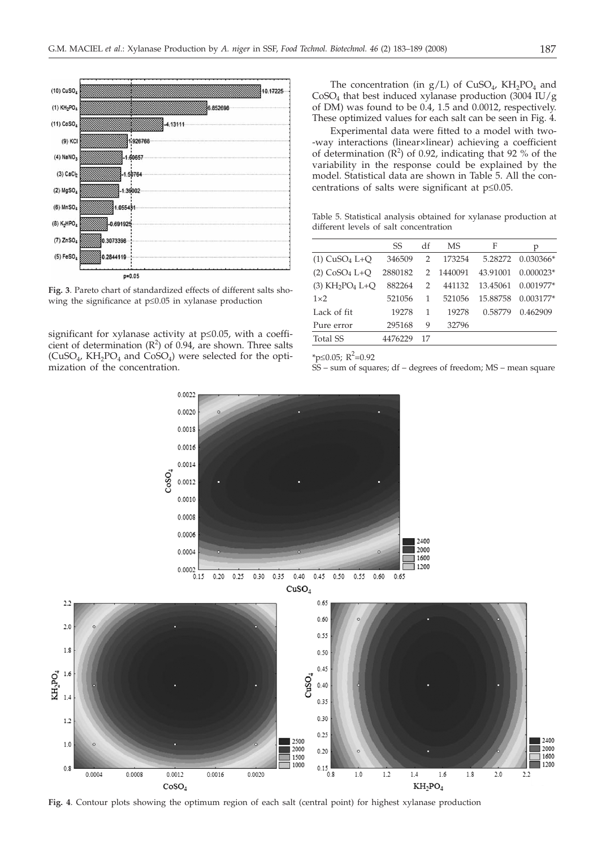

**Fig. 3**. Pareto chart of standardized effects of different salts showing the significance at  $p \leq 0.05$  in xylanase production

significant for xylanase activity at  $p \leq 0.05$ , with a coefficient of determination  $(R^2)$  of 0.94, are shown. Three salts  $(CuSO<sub>4</sub>, KH<sub>2</sub>PO<sub>4</sub>$  and  $CoSO<sub>4</sub>$ ) were selected for the optimization of the concentration.

The concentration (in  $g/L$ ) of  $CuSO<sub>4</sub>$ ,  $KH<sub>2</sub>PO<sub>4</sub>$  and  $CoSO<sub>4</sub>$  that best induced xylanase production (3004 IU/g) of DM) was found to be 0.4, 1.5 and 0.0012, respectively. These optimized values for each salt can be seen in Fig. 4.

Experimental data were fitted to a model with two- -way interactions (linear×linear) achieving a coefficient of determination  $(R^2)$  of 0.92, indicating that 92 % of the variability in the response could be explained by the model. Statistical data are shown in Table 5. All the concentrations of salts were significant at  $p \leq 0.05$ .

Table 5. Statistical analysis obtained for xylanase production at different levels of salt concentration

|                                           | SS      | df | MS      | F        | р                 |
|-------------------------------------------|---------|----|---------|----------|-------------------|
| $(1)$ CuSO <sub>4</sub> L+Q               | 346509  | 2  | 173254  |          | 5.28272 0.030366* |
| $(2)$ CoSO <sub>4</sub> L+O               | 2880182 | 2  | 1440091 | 43.91001 | $0.000023*$       |
| $(3)$ KH <sub>2</sub> PO <sub>4</sub> L+O | 882264  | 2  | 441132  | 13.45061 | $0.001977*$       |
| $1\times2$                                | 521056  | 1  | 521056  | 15.88758 | $0.003177*$       |
| Lack of fit                               | 19278   | 1  | 19278   | 0.58779  | 0.462909          |
| Pure error                                | 295168  | 9  | 32796   |          |                   |
| Total SS                                  | 4476229 | 17 |         |          |                   |
|                                           |         |    |         |          |                   |

\*p $\leq 0.05; R^2 = 0.92$ 

SS – sum of squares; df – degrees of freedom; MS – mean square



**Fig. 4**. Contour plots showing the optimum region of each salt (central point) for highest xylanase production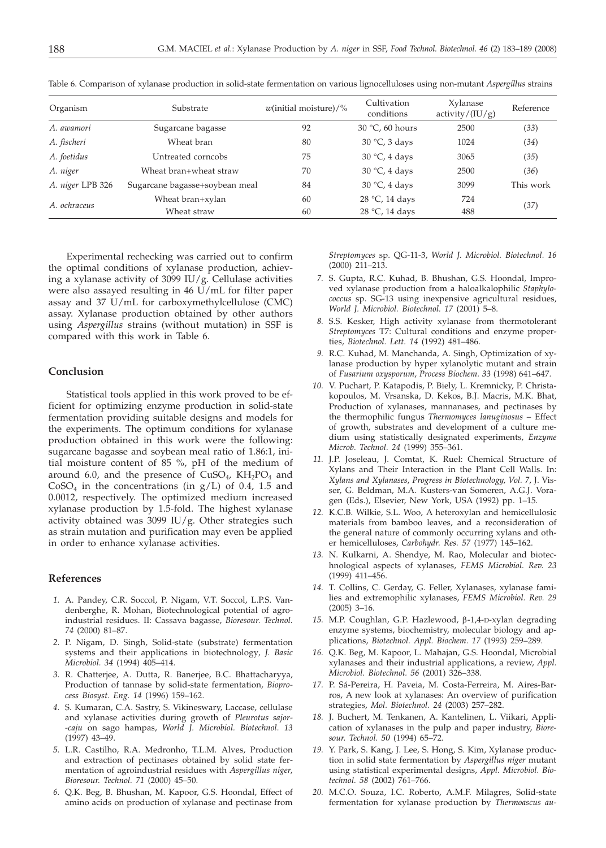| Organism         | Substrate                      | $w$ (initial moisture)/% | Cultivation<br>conditions | Xylanase<br>activity/(IU/g) | Reference |  |
|------------------|--------------------------------|--------------------------|---------------------------|-----------------------------|-----------|--|
| A. awamori       | Sugarcane bagasse              | 92                       | $30 °C$ , 60 hours        | 2500                        | (33)      |  |
| A. fischeri      | Wheat bran                     | 80                       | $30 °C$ , 3 days          | 1024                        | (34)      |  |
| A. foetidus      | Untreated corncobs             | 75                       | $30 °C$ , 4 days          | 3065                        | (35)      |  |
| A. niger         | Wheat bran+wheat straw         | 70                       | $30 °C$ , 4 days          | 2500                        | (36)      |  |
| A. niger LPB 326 | Sugarcane bagasse+soybean meal | 84                       | $30 °C$ , 4 days          | 3099                        | This work |  |
| A. ochraceus     | Wheat bran+xylan               | 60                       | 28 $\degree$ C, 14 days   | 724                         |           |  |
|                  | Wheat straw                    | 60                       | 28 °C, 14 days            | 488                         | (37)      |  |

Table 6. Comparison of xylanase production in solid-state fermentation on various lignocelluloses using non-mutant *Aspergillus* strains

Experimental rechecking was carried out to confirm the optimal conditions of xylanase production, achieving a xylanase activity of 3099 IU/g. Cellulase activities were also assayed resulting in 46 U/mL for filter paper assay and 37 U/mL for carboxymethylcellulose (CMC) assay. Xylanase production obtained by other authors using *Aspergillus* strains (without mutation) in SSF is compared with this work in Table 6.

# **Conclusion**

Statistical tools applied in this work proved to be efficient for optimizing enzyme production in solid-state fermentation providing suitable designs and models for the experiments. The optimum conditions for xylanase production obtained in this work were the following: sugarcane bagasse and soybean meal ratio of 1.86:1, initial moisture content of 85 %, pH of the medium of around 6.0, and the presence of  $CuSO<sub>4</sub>$ ,  $KH<sub>2</sub>PO<sub>4</sub>$  and  $CoSO<sub>4</sub>$  in the concentrations (in  $g/L$ ) of 0.4, 1.5 and 0.0012, respectively. The optimized medium increased xylanase production by 1.5-fold. The highest xylanase activity obtained was 3099 IU/g. Other strategies such as strain mutation and purification may even be applied in order to enhance xylanase activities.

## **References**

- *1.* A. Pandey, C.R. Soccol, P. Nigam, V.T. Soccol, L.P.S. Vandenberghe, R. Mohan, Biotechnological potential of agroindustrial residues. II: Cassava bagasse, *Bioresour. Technol. 74* (2000) 81–87.
- *2.* P. Nigam, D. Singh, Solid-state (substrate) fermentation systems and their applications in biotechnology*, J. Basic Microbiol. 34* (1994) 405–414.
- *3.* R. Chatterjee, A. Dutta, R. Banerjee, B.C. Bhattacharyya, Production of tannase by solid-state fermentation, *Bioprocess Biosyst. Eng. 14* (1996) 159–162.
- *4.* S. Kumaran, C.A. Sastry, S. Vikineswary, Laccase, cellulase and xylanase activities during growth of *Pleurotus sajor- -caju* on sago hampas, *World J. Microbiol. Biotechnol. 13* (1997) 43–49.
- *5.* L.R. Castilho, R.A. Medronho, T.L.M. Alves, Production and extraction of pectinases obtained by solid state fermentation of agroindustrial residues with *Aspergillus niger*, *Bioresour. Technol. 71* (2000) 45–50.
- *6.* Q.K. Beg, B. Bhushan, M. Kapoor, G.S. Hoondal, Effect of amino acids on production of xylanase and pectinase from

*Streptomyces* sp. QG-11-3, *World J. Microbiol. Biotechnol. 16* (2000) 211–213.

- *7.* S. Gupta, R.C. Kuhad, B. Bhushan, G.S. Hoondal, Improved xylanase production from a haloalkalophilic *Staphylococcus* sp. SG-13 using inexpensive agricultural residues, *World J. Microbiol. Biotechnol. 17* (2001) 5–8.
- *8.* S.S. Kesker, High activity xylanase from thermotolerant *Streptomyces* T7: Cultural conditions and enzyme properties, *Biotechnol. Lett. 14* (1992) 481–486.
- *9.* R.C. Kuhad, M. Manchanda, A. Singh, Optimization of xylanase production by hyper xylanolytic mutant and strain of *Fusarium oxysporum*, *Process Biochem. 33* (1998) 641–647.
- *10.* V. Puchart, P. Katapodis, P. Biely, L. Kremnicky, P. Christakopoulos, M. Vrsanska, D. Kekos, B.J. Macris, M.K. Bhat, Production of xylanases, mannanases, and pectinases by the thermophilic fungus *Thermomyces lanuginosus* – Effect of growth, substrates and development of a culture medium using statistically designated experiments, *Enzyme Microb. Technol. 24* (1999) 355–361.
- *11.* J.P. Joseleau, J. Comtat, K. Ruel: Chemical Structure of Xylans and Their Interaction in the Plant Cell Walls. In: *Xylans and Xylanases*, *Progress in Biotechnology, Vol. 7*, J. Visser, G. Beldman, M.A. Kusters-van Someren, A.G.J. Voragen (Eds.), Elsevier, New York, USA (1992) pp. 1–15.
- *12.* K.C.B. Wilkie, S.L. Woo, A heteroxylan and hemicellulosic materials from bamboo leaves, and a reconsideration of the general nature of commonly occurring xylans and other hemicelluloses, *Carbohydr. Res. 57* (1977) 145–162.
- *13.* N. Kulkarni, A. Shendye, M. Rao, Molecular and biotechnological aspects of xylanases, *FEMS Microbiol. Rev. 23* (1999) 411–456.
- *14.* T. Collins, C. Gerday, G. Feller, Xylanases, xylanase families and extremophilic xylanases, *FEMS Microbiol. Rev. 29* (2005) 3–16.
- 15. M.P. Coughlan, G.P. Hazlewood, β-1,4-D-xylan degrading enzyme systems, biochemistry, molecular biology and applications, *Biotechnol. Appl. Biochem. 17* (1993) 259–289.
- *16.* Q.K. Beg, M. Kapoor, L. Mahajan, G.S. Hoondal, Microbial xylanases and their industrial applications, a review, *Appl. Microbiol. Biotechnol. 56* (2001) 326–338.
- *17.* P. Sá-Pereira, H. Paveia, M. Costa-Ferreira, M. Aires-Barros, A new look at xylanases: An overview of purification strategies, *Mol. Biotechnol. 24* (2003) 257–282.
- *18.* J. Buchert, M. Tenkanen, A. Kantelinen, L. Viikari, Application of xylanases in the pulp and paper industry, *Bioresour. Technol. 50* (1994) 65–72.
- *19.* Y. Park, S. Kang, J. Lee, S. Hong, S. Kim, Xylanase production in solid state fermentation by *Aspergillus niger* mutant using statistical experimental designs, *Appl. Microbiol. Biotechnol. 58* (2002) 761–766.
- *20.* M.C.O. Souza, I.C. Roberto, A.M.F. Milagres, Solid-state fermentation for xylanase production by *Thermoascus au-*